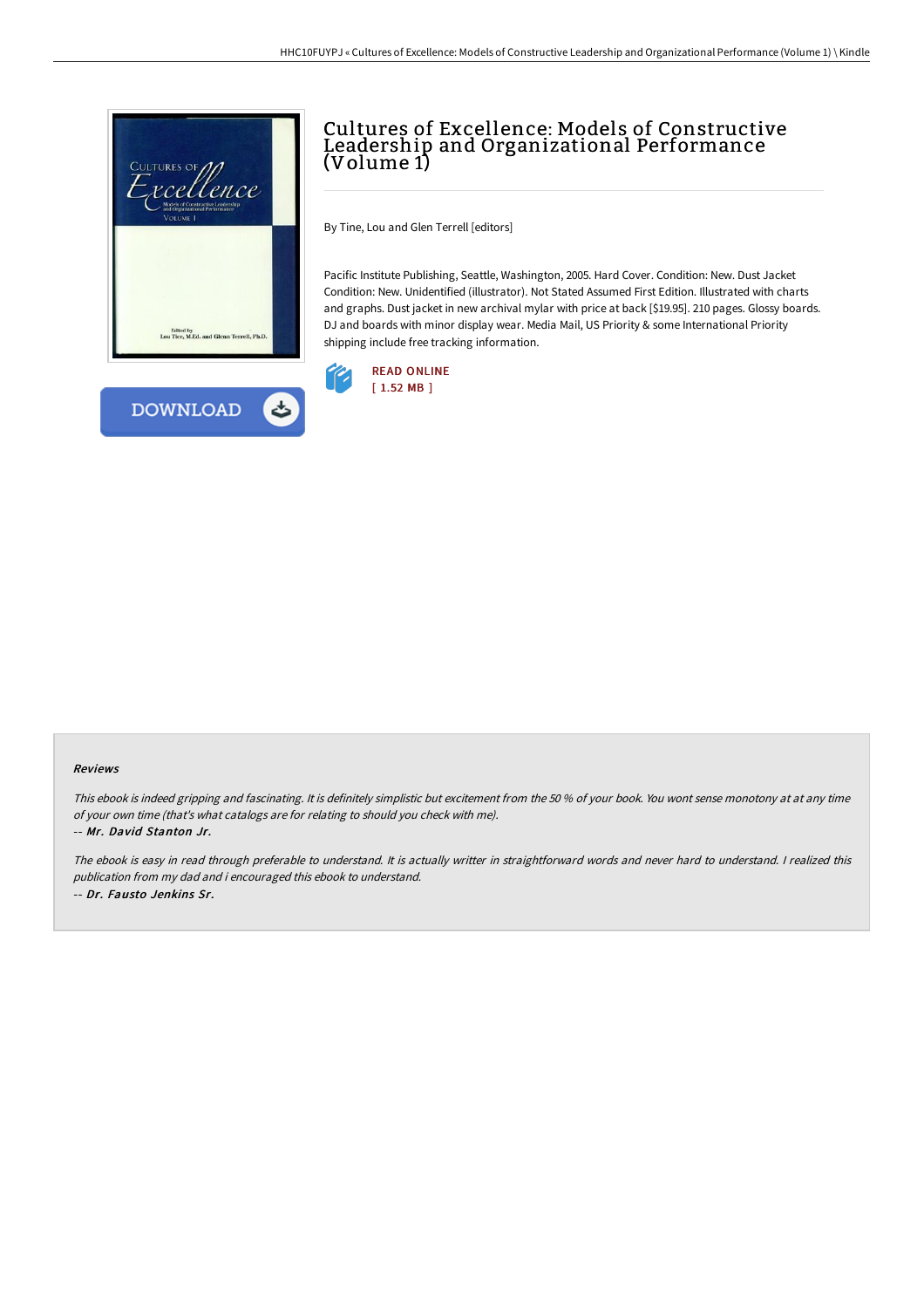

## Cultures of Excellence: Models of Constructive Leadership and Organizational Performance (Volume 1)

By Tine, Lou and Glen Terrell [editors]

Pacific Institute Publishing, Seattle, Washington, 2005. Hard Cover. Condition: New. Dust Jacket Condition: New. Unidentified (illustrator). Not Stated Assumed First Edition. Illustrated with charts and graphs. Dust jacket in new archival mylar with price at back [\$19.95]. 210 pages. Glossy boards. DJ and boards with minor display wear. Media Mail, US Priority & some International Priority shipping include free tracking information.



## Reviews

This ebook is indeed gripping and fascinating. It is definitely simplistic but excitement from the <sup>50</sup> % of your book. You wont sense monotony at at any time of your own time (that's what catalogs are for relating to should you check with me).

-- Mr. David Stanton Jr.

The ebook is easy in read through preferable to understand. It is actually writter in straightforward words and never hard to understand. <sup>I</sup> realized this publication from my dad and i encouraged this ebook to understand. -- Dr. Fausto Jenkins Sr.